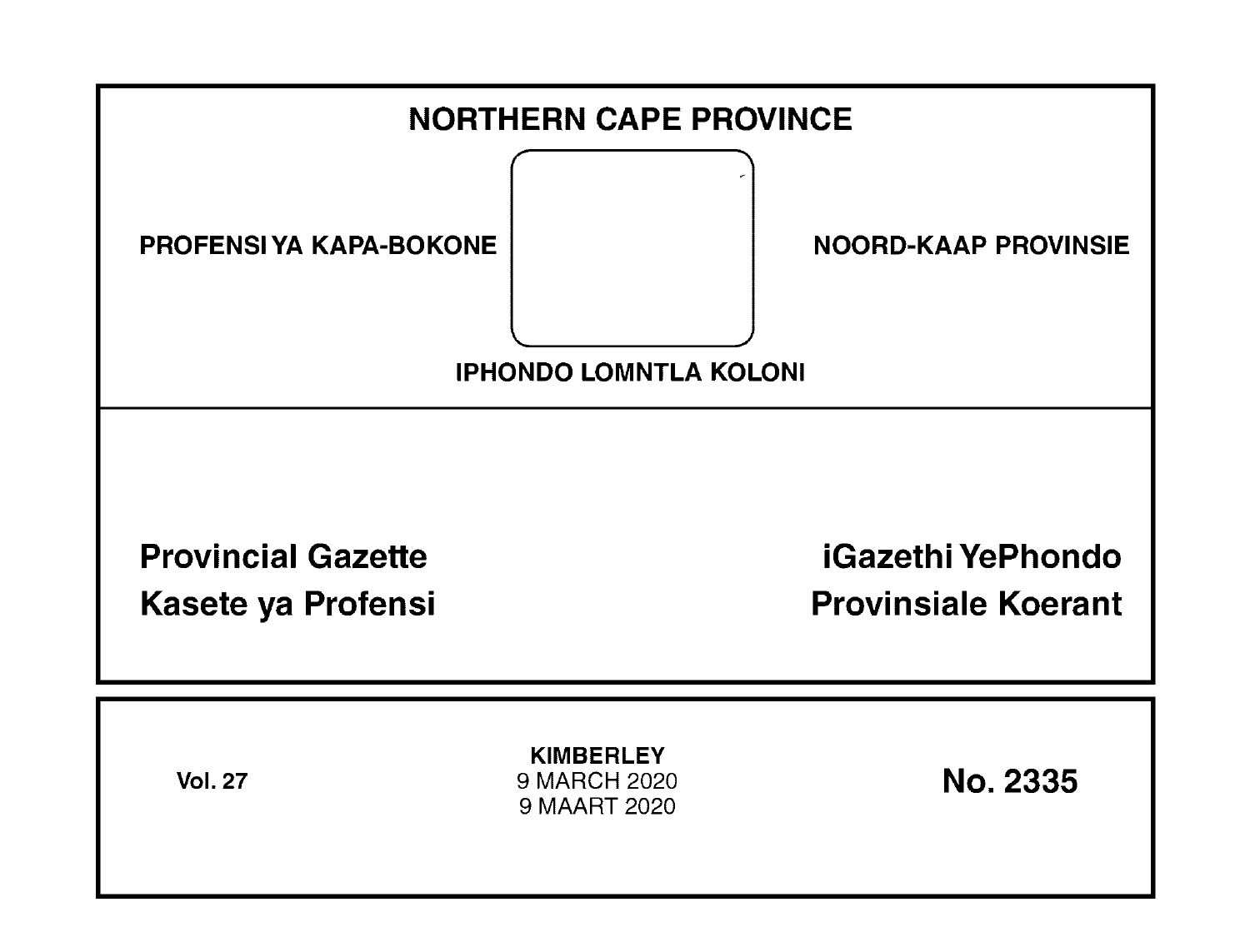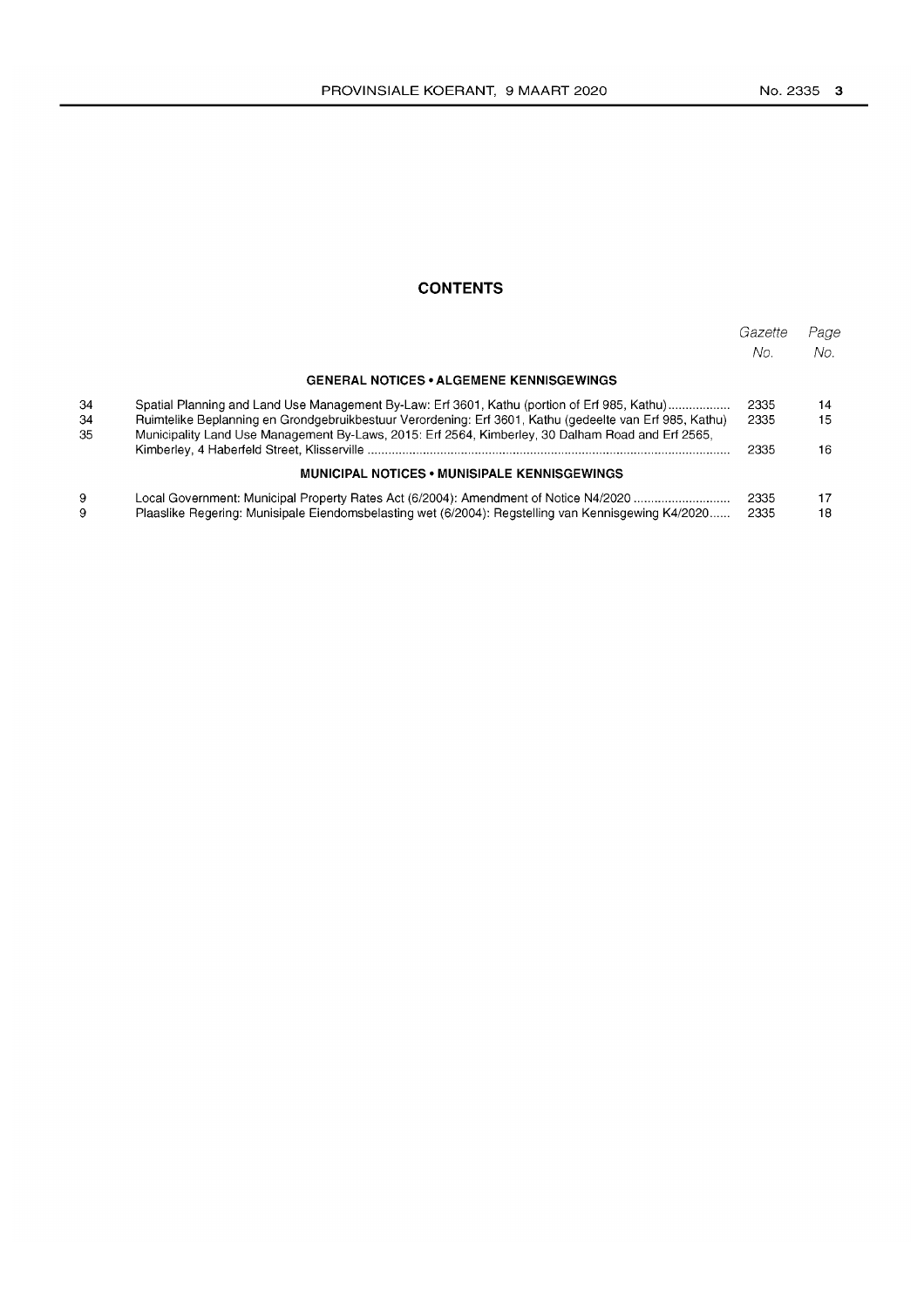## **CONTENTS**

|          |                                                                                                                                                                                                              | Gazette<br>No. | Page<br>No. |
|----------|--------------------------------------------------------------------------------------------------------------------------------------------------------------------------------------------------------------|----------------|-------------|
|          | <b>GENERAL NOTICES • ALGEMENE KENNISGEWINGS</b>                                                                                                                                                              |                |             |
| 34       | Spatial Planning and Land Use Management By-Law: Erf 3601, Kathu (portion of Erf 985, Kathu)                                                                                                                 | 2335           | 14          |
| 34<br>35 | Ruimtelike Beplanning en Grondgebruikbestuur Verordening: Erf 3601, Kathu (gedeelte van Erf 985, Kathu)<br>Municipality Land Use Management By-Laws, 2015: Erf 2564, Kimberley, 30 Dalham Road and Erf 2565, | 2335           | 15          |
|          |                                                                                                                                                                                                              | 2335           | 16          |
|          | <b>MUNICIPAL NOTICES • MUNISIPALE KENNISGEWINGS</b>                                                                                                                                                          |                |             |
| 9        | Local Government: Municipal Property Rates Act (6/2004): Amendment of Notice N4/2020                                                                                                                         | 2335           | 17          |
| 9        | Plaaslike Regering: Munisipale Eiendomsbelasting wet (6/2004): Regstelling van Kennisgewing K4/2020                                                                                                          | 2335           | 18          |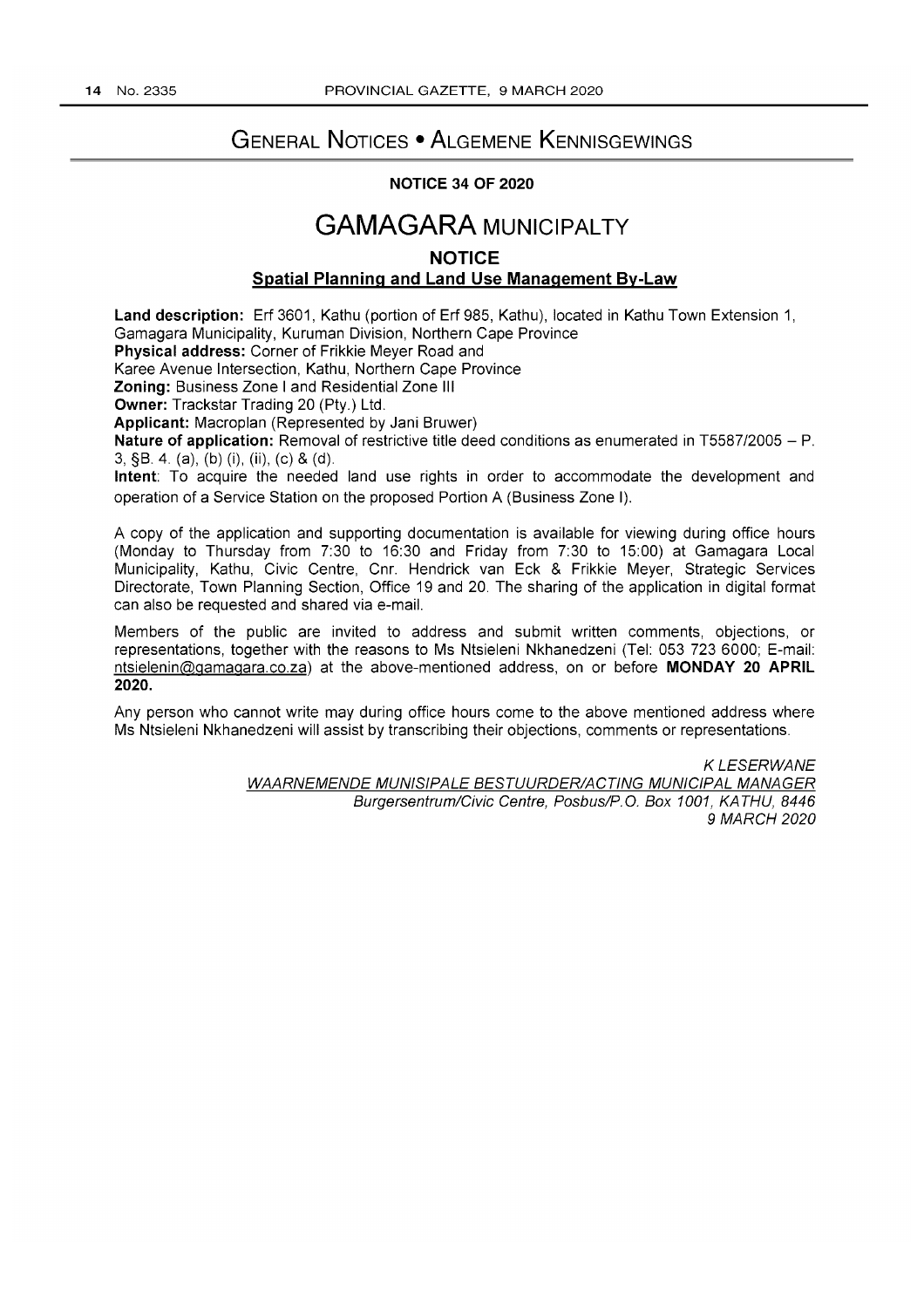# **GENERAL NOTICES • ALGEMENE KENNISGEWINGS**

### **NOTICE 34 OF 2020**

# **GAMAGARA MUNICIPALTY**

### **NOTICE**

### **Spatial Planning and Land Use Management By-Law**

**Land description:** Erf 3601, Kathu (portion of Erf 985, Kathu), located in Kathu Town Extension 1, Gamagara Municipality, Kuruman Division, Northern Cape Province **Physical address:** Corner of Frikkie Meyer Road and Karee Avenue Intersection, Kathu, Northern Cape Province **Zoning:** Business Zone I and Residential Zone III **Owner:** Trackstar Trading 20 (Pty.) Ltd. **Applicant:** Macroplan (Represented by Jani Bruwer) **Nature of application:** Removal of restrictive title deed conditions as enumerated in *T5587/2005* - P. 3, §B. 4. (a), (b) (i), (ii), (c) & (d). **Intent: To** acquire the needed land use rights in order to accommodate the development and operation of a Service Station on the proposed Portion A (Business Zone I). A copy of the application and supporting documentation is available for viewing during office hours (Monday to Thursday from 7:30 to 16:30 and Friday from 7:30 to 15:00) at Gamagara Local Municipality, Kathu, Civic Centre, Cnr. Hendrick van Eck & Frikkie Meyer, Strategic Services Directorate, Town Planning Section, Office 19 and 20. **The** sharing of the application in digital format can also be requested and shared via e-mail.

Members of the public are invited to address and submit written comments, objections, or representations, together with the reasons to Ms Ntsieleni Nkhanedzeni (Tel: 053 723 6000; E-mail: ntsielenin@gamagara.co.za) at the above-mentioned address, on or before **MONDAY 20 APRIL 2020.** 

Any person who cannot write may during office hours come to the above mentioned address where Ms Ntsieleni Nkhanedzeni will assist by transcribing their objections, comments or representations.

> KLESERWANE WAARNEMENOE MUNISIPALE BESTUUROERIACTING MUNICIPAL MANAGER Burgersentrum/Civic Centre, Posbus/P.O. Box 1001, KATHU, 8446 9 MARCH 2020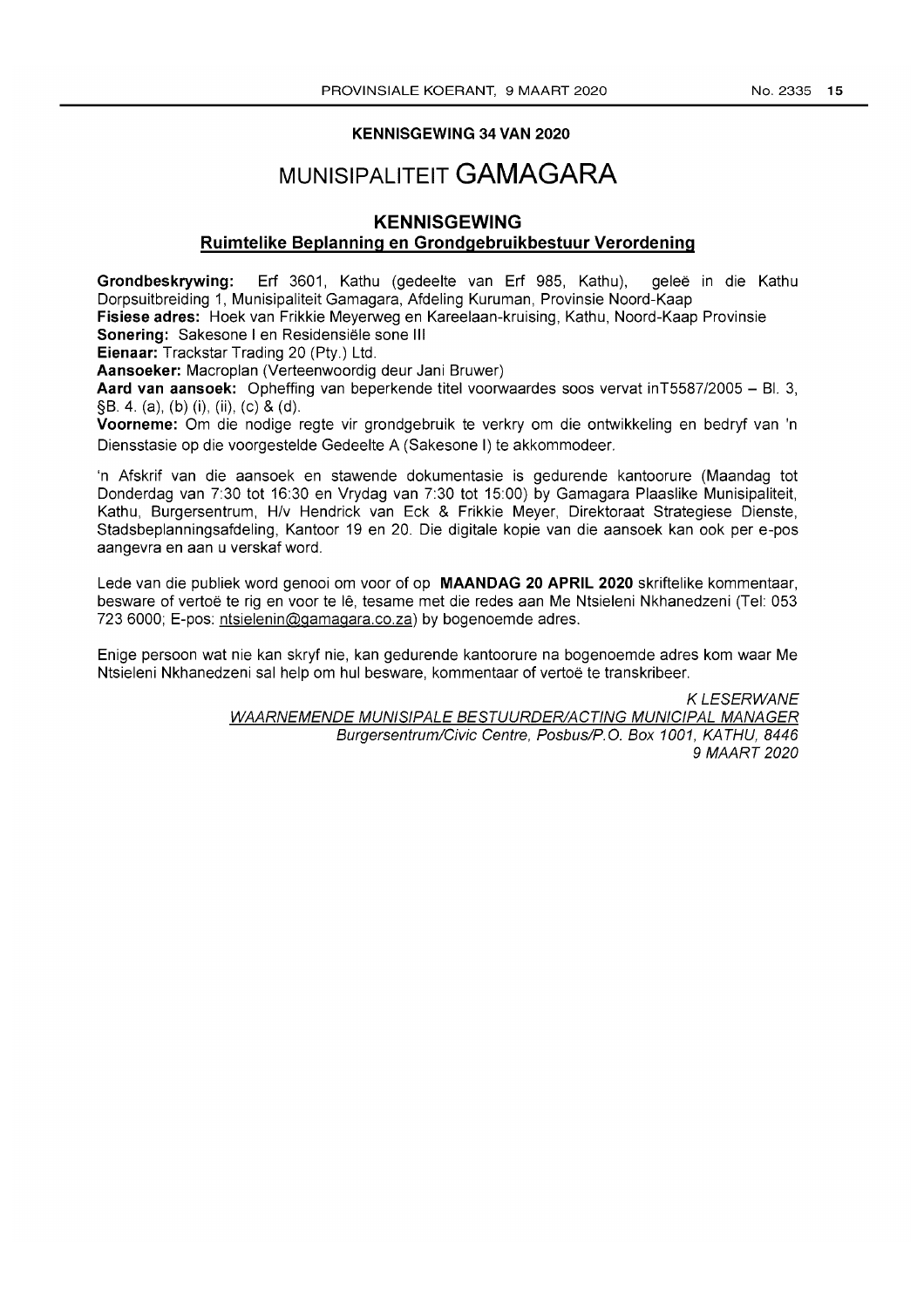#### **KENNISGEWING 34 VAN 2020**

# **MUNISIPALITEIT GAMAGARA**

### **KENNISGEWING**

### **Ruimtelike Beplanning en Grondgebruikbestuur Verordening**

**Grondbeskrywing: Erf** 3601, Kathu (gedeelte van Erf 985, Kathu), gelee in die Kathu Dorpsuitbreiding 1, Munisipaliteit Gamagara, Afdeling Kuruman, Provinsie Noord-Kaap

**Fisiese adres:** Hoek van Frikkie Meyerweg en Kareelaan-kruising, Kathu, Noord-Kaap Provinsie **Sonering:** Sakesone I en Residensiele sone III

**Eienaar:** Trackstar Trading 20 (Pty.) Ltd.

**Aansoeker:** Macroplan (Verteenwoordig deur Jani Bruwer)

**Aard van aansoek:** Opheffing van beperkende titel voorwaardes soos vervat inT5587/2005 - BI. 3, §B. 4. (a), (b) (i), (ii), (c) & (d).

**Voorneme:** Om die nodige regte vir grondgebruik te verkry om die ontwikkeling en bedryf van In Diensstasie op die voorgestelde Gedeelte A (Sakesone I) te akkommodeer.

'n Afskrif van die aansoek en stawende dokumentasie is gedurende kantoorure (Maandag tot Donderdag van 7:30 tot 16:30 en Vrydag van 7:30 tot 15:00) by Gamagara Plaaslike Munisipaliteit, Kathu, Burgersentrum, H/v Hendrick van Eck & Frikkie Meyer, Direktoraat Strategiese Dienste, Stadsbeplanningsafdeling, Kantoor 19 en 20. Die digitale kopie van die aansoek kan ook per e-pos aangevra en aan u verskaf word.

Lede van die publiek word genooi om voor of op **MAANDAG 20 APRIL 2020** skriftelike kommentaar, besware of vertoe te rig en voor te Ie, tesame met die redes aan Me Ntsieleni Nkhanedzeni (Tel: 053 7236000; E-pos: ntsielenin@gamagara.co.za) by bogenoemde adres.

Enige persoon wat nie kan skryf nie, kan gedurende kantoorure na bogenoemde adres kom waar Me Ntsieleni Nkhanedzeni sal help om hul besware, kommentaar of vertoë te transkribeer.

> KLESERWANE WAARNEMENOE MUNIS/PALE BESTUUROERIACTING MUNICIPAL MANAGER Burgersentrum/Civic Centre, Posbus/P.O. Box 1001, KATHU, 8446 9 MAART 2020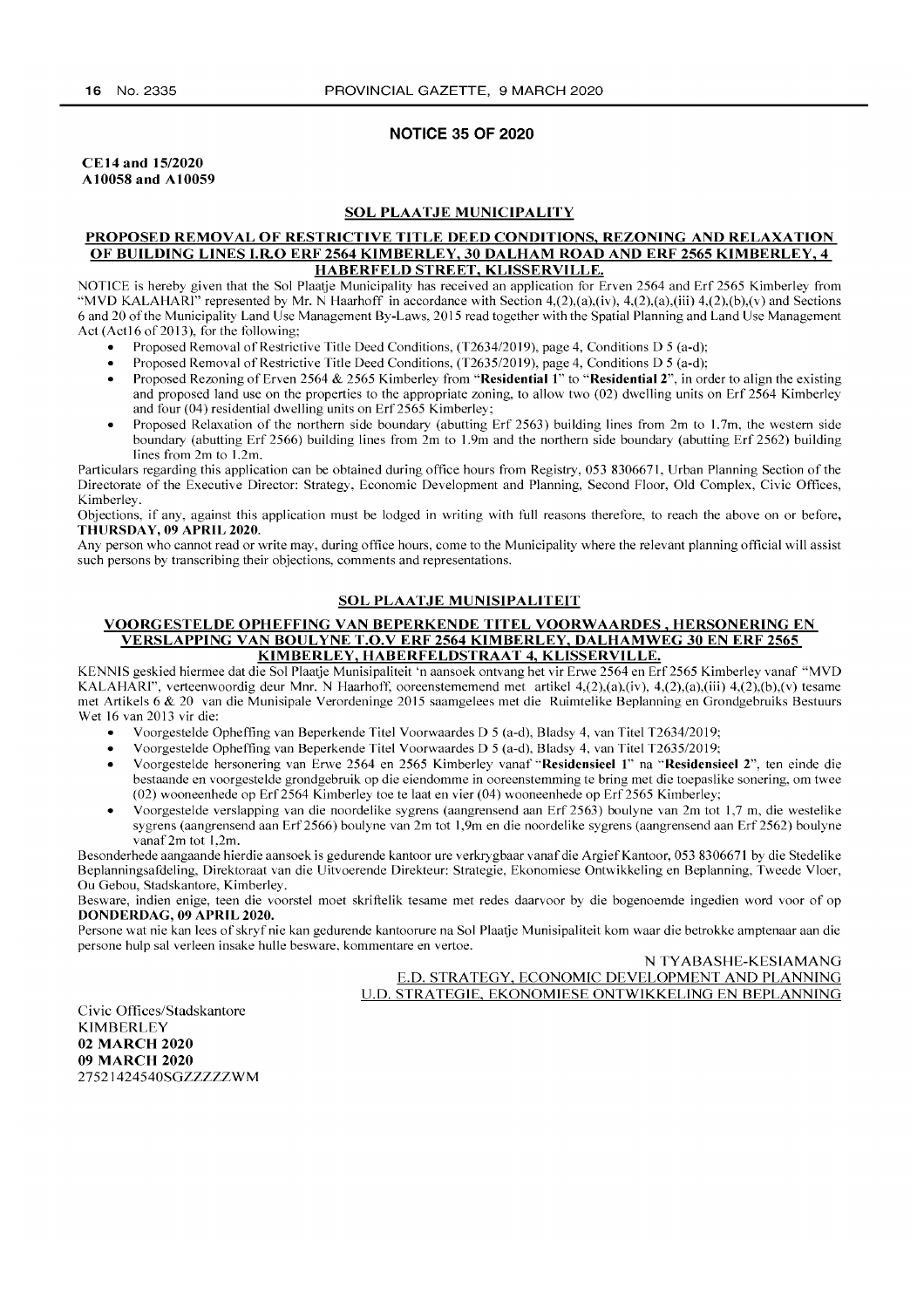#### NOTICE 35 OF 2020

CE 14 and 1512020 A10058 and A10059

### SOL PLAATJE MUNICIPALITY

#### PROPOSED REMOVAL OF RESTRICTIVE TITLE DEED CONDITIONS, REZONING AND RELAXATION OF BUILDING LINES I.R.O ERF 2564 KIMBERLEY, 30 DALHAM ROAD AND ERF 2565 KIMBERLEY, 4 HABERFELD STREET, KLISSERVILLE.

NOTICE is hereby given that the Sol Plaatje Municipality has received an application for Erven 2564 and Erf 2565 Kimberley from "MVD KALAHARI" represented by Mr. N Haarhoff in accordance with Section 4,(2),(a),(iv), 4,(2),(a),(iii) 4,(2),(b),(v) and Sections 6 and 20 of the Municipality Land Use Management By-Laws, 2015 read together with the Spatial Planning and Land Use Management Act (Act16 of 2013), for the following;

- Proposed Removal of Restrictive Title Deed Conditions, *(T2634/20* 19), page 4, Conditions D 5 (a-d);
- Proposed Removal of Restrictive Title Deed Conditions, *(T2635/20* 19), page 4, Conditions D 5 (a-d);
- Proposed Rezoning of Erven 2564 & 2565 Kimberley from "Residential 1" to "Residential 2", in order to align the existing and proposed land use on the properties to the appropriate zoning, to allow two (02) dwelling units on Erf 2564 Kimberley and four (04) residential dwelling units on Erf2565 Kimberley;
- Proposed Relaxation of the northern side boundary (abutting Erf 2563) building lines from 2m to 1.7m, the western side boundary (abutting Erf 2566) building lines from 2m to 1.9m and the northern side boundary (abutting Erf 2562) building lines from 2m to 1.2m.

Particulars regarding this application can be obtained during office hours from Registry, 0538306671, Urban Planning Section of the Directorate of the Executive Director: Strategy, Economic Development and Planning, Second Floor, Old Complex, Civic Offices, Kimberley.

Objections, if any, against this application must be lodged in writing with full reasons therefore, to reach the above on or before, THURSDAY, 09 APRIL 2020.

Any person who cannot read or write may, during office hours, come to the Municipality where the relevant planning official will assist such persons by transcribing their objections, comments and representations.

#### SOL PLAATJE MUNISIPALITEIT

#### VOORGESTELDE OPHEFFING VAN BEPERKENDE TITEL VOORWAARDES, HERSONERING EN VERSLAPPING VAN BOULYNE T.O.V ERF 2564 KIMBERLEY, DALHAMWEG 30 EN ERF 2565 KIMBERLEY, HABERFELDSTRAAT 4, KLISSERVILLE.

KENNIS geskied hiermee dat die Sol Plaatje Munisipaliteit 'n aansoek ontvang het vir Erwe 2564 en Erf 2565 Kimberley vanaf "MVD KALAHARI", verteenwoordig deur Mm. N Haarhoft: ooreenstememend met artikel 4,(2),(a),(iv), 4,(2),(a),(iii) 4,(2),(b ),(v) tesame met Artikels 6 & 20 van die Munisipale Verordeninge 2015 saamgelees met die Ruimtelike Beplanning en Grondgebruiks Bestuurs Wet 16 van 2013 vir die:

- Voorgestelde Opheffing van Beperkende Titel Voorwaardes D 5 (a-d), Bladsy 4, van Titel *T2634/2019;*
- Voorgestelde Opheffing van Beperkende Titel Voorwaardes D 5 (a-d), Bladsy 4, van Titel *T2635/2019;*
- Voorgestelde hersonering van Erwe 2564 en 2565 Kimberley vanaf ·'Residensieel 1" na "Residensieel 2", ten einde die bestaande en voorgestelde grondgebruik op die eiendomme in ooreenstemming te bring met die toepaslike sonering, om twee (02) wooneenhede op Erf2564 Kimberley toe te laat en vier (04) wooneenhede op Erf2565 Kimberley;
- Voorgestelde verslapping van die noordelike sygrens (aangrensend aan Erf2563) boulyne van 2m tot 1,7 m, die westelike sygrens (aangrensend aan Erf2566) boulyne van 2m tot 1,9m en die noordelike sygrens (aangrensend aan Erf2562) boulyne vanaf2m tot L2m.

Besonderhede aangaande hierdie aansoek is gedurende kantoor ure verkrygbaar vanaf die Argief Kantoor, 053 8306671 by die Stedelike Beplanningsafdeling, Direktoraat van die Uitvoerende Direkteur: Strategie, Ekonomiese Ontwikkeling en Beplanning, Tweede Vloer, Ou Gebou, Stadskantore, Kimberley.

Besware, indien enige, teen die voorstel moet skriftelik tesame met redes daarvoor by die bogenoemde ingedien word voor of op DONDERDAG, 09 APRIL 2020.

Persone wat nie kan lees of skryf nie kan gedurende kantoorure na Sol Plaatie Munisipaliteit kom waar die betrokke amptenaar aan die persone hulp sal verleen in sake hulle besware, kommentare en vertoe.

> N TY ABASHE-KESIAMANG E.D. STRATEGY, ECONOMIC DEVELOPMENT AND PLANNING U.D. STRATEGIE, EKONOMIESE ONTWIKKELING EN BEPLANNING

Civic Offices/Stadskantore KIMBERLEY 02 MARCH 2020 09 MARCH 2020 27521424540SGZZZZZWM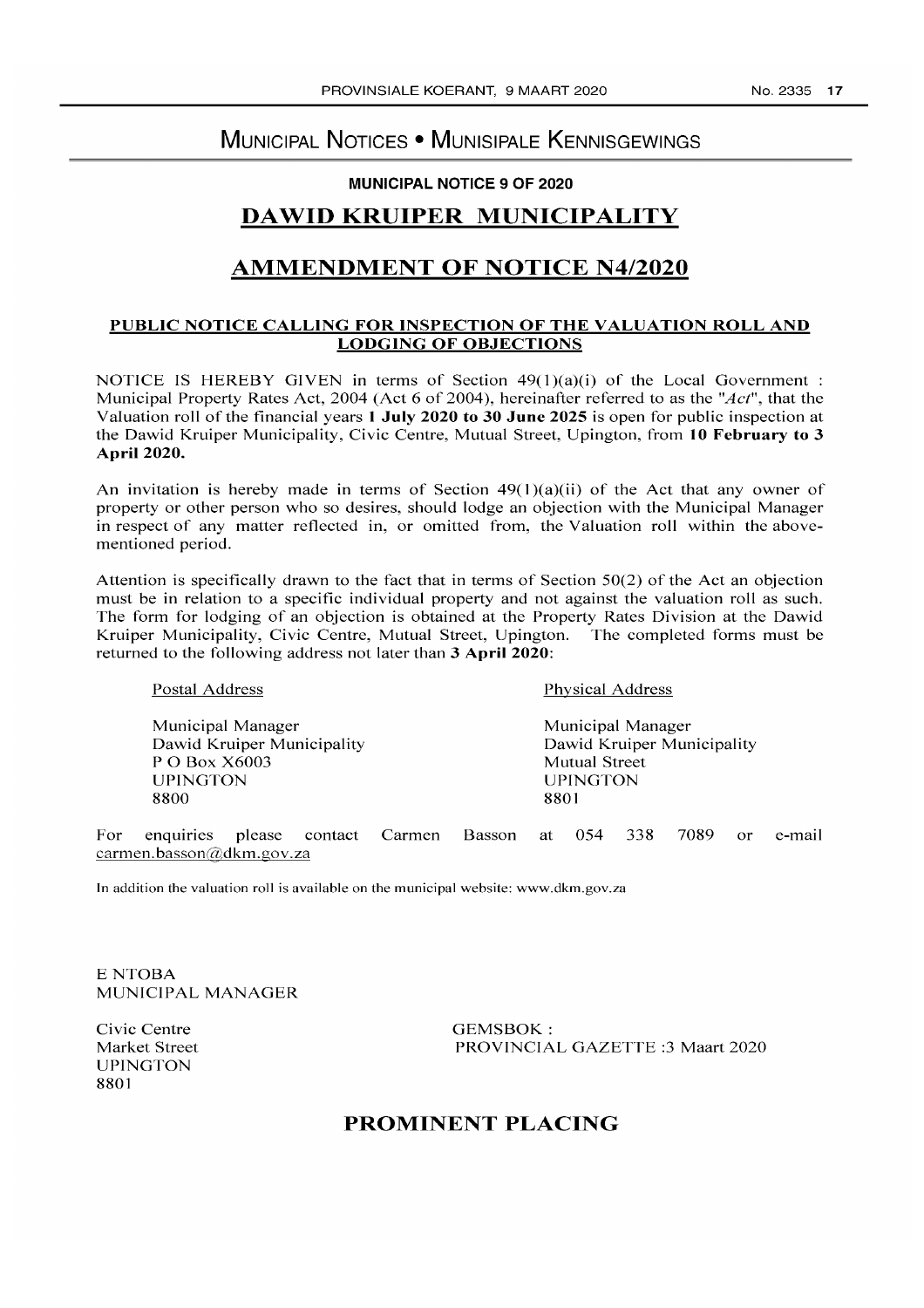# MUNICIPAL NOTICES • MUNISIPALE KENNISGEWINGS

### MUNICIPAL NOTICE 9 OF 2020

# **DA WID** KRUIPER MUNICIPALITY

# AMMENDMENT OF NOTICE N4/2020

### PUBLIC NOTICE CALLING FOR INSPECTION OF THE VALUATION ROLL AND LODGING OF OBJECTIONS

NOTICE IS HEREBY GIVEN in terms of Section  $49(1)(a)(i)$  of the Local Government : Municipal Property Rates Act, 2004 (Act 6 of 2004), hereinafter referred to as the *"Act",* that the Valuation roll of the financial years 1 July 2020 to 30 June 2025 is open for public inspection at the Dawid Kruiper Municipality, Civic Centre, Mutual Street, Upington, from 10 February to 3 April 2020.

An invitation is hereby made in terms of Section  $49(1)(a)(ii)$  of the Act that any owner of property or other person who so desires, should lodge an objection with the Municipal Manager in respect of any matter reflected in, or omitted from, the Valuation roll within the abovementioned period.

Attention is specifically drawn to the fact that in terms of Section 50(2) of the Act an objection must be in relation to a specific individual property and not against the valuation roll as such. The form for lodging of an objection is obtained at the Property Rates Division at the Dawid Kruiper Municipality, Civic Centre, Mutual Street, Upington. The completed forms must be returned to the following address not later than 3 April 2020:

| Postal Address             | Physical Address           |
|----------------------------|----------------------------|
| Municipal Manager          | Municipal Manager          |
| Dawid Kruiper Municipality | Dawid Kruiper Municipality |
| P O Box X6003              | Mutual Street              |
| <b>UPINGTON</b>            | <b>UPINGTON</b>            |
| 8800                       | 8801                       |
|                            |                            |

For enquiries please contact Carmen Basson at 054 338 7089 or e-mail carmen.basson@dkm.gov.za

In addition the valuation roll is available on the municipal website: www.dkm.gov.za

ENTOBA MUNICIPAL MANAGER

Civic Centre Market Street UPINGTON 8801

GEMSBOK: PROVINCIAL GAZETTE :3 Maart 2020

# PROMINENT PLACING